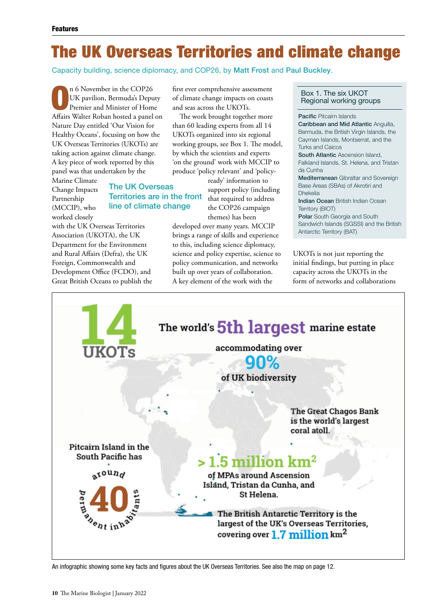# The UK Overseas Territories and climate change

Capacity building, science diplomacy, and COP26, by Matt Frost and Paul Buckley.

n 6 November in the COP26<br>UK pavilion, Bermuda's Deputy<br>Premier and Minister of Home UK pavilion, Bermuda's Deputy Affairs Walter Roban hosted a panel on Nature Day entitled 'Our Vision for Healthy Oceans', focusing on how the UK Overseas Territories (UKOTs) are taking action against climate change. A key piece of work reported by this panel was that undertaken by the

Marine Climate Change Impacts Partnership (MCCIP), who worked closely

# The UK Overseas Territories are in the front line of climate change

with the UK Overseas Territories Association (UKOTA), the UK Department for the Environment and Rural Affairs (Defra), the UK Foreign, Commonwealth and Development Office (FCDO), and Great British Oceans to publish the first ever comprehensive assessment of climate change impacts on coasts and seas across the UKOTs.

The work brought together more than 60 leading experts from all 14 UKOTs organized into six regional working groups, see Box 1. The model, by which the scientists and experts 'on the ground' work with MCCIP to produce 'policy relevant' and 'policy-

> ready' information to support policy (including that required to address the COP26 campaign themes) has been

developed over many years. MCCIP brings a range of skills and experience to this, including science diplomacy, science and policy expertise, science to policy communication, and networks built up over years of collaboration. A key element of the work with the

## Box 1. The six UKOT Regional working groups

#### **Pacific Pitcairn Islands**

Caribbean and Mid Atlantic Anguilla, Bermuda, the British Virgin Islands, the Cayman Islands, Montserrat, and the Turks and Caicos South Atlantic Ascension Island, Falkland Islands, St. Helena, and Tristan da Cunha Mediterranean Gibraltar and Sovereign Base Areas (SBAs) of Akrotiri and

Dhekelia Indian Ocean British Indian Ocean

Territory (BIOT)

Polar South Georgia and South Sandwich Islands (SGSSI) and the British Antarctic Territory (BAT)

UKOTs is not just reporting the initial findings, but putting in place capacity across the UKOTs in the form of networks and collaborations



An infographic showing some key facts and figures about the UK Overseas Territories. See also the map on page 12.